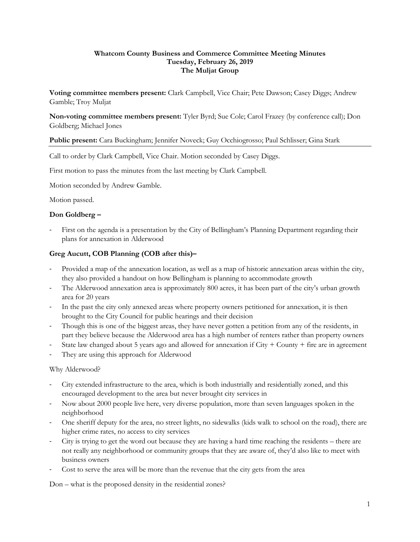## **Whatcom County Business and Commerce Committee Meeting Minutes Tuesday, February 26, 2019 The Muljat Group**

**Voting committee members present:** Clark Campbell, Vice Chair; Pete Dawson; Casey Diggs; Andrew Gamble; Troy Muljat

**Non-voting committee members present:** Tyler Byrd; Sue Cole; Carol Frazey (by conference call); Don Goldberg; Michael Jones

**Public present:** Cara Buckingham; Jennifer Noveck; Guy Occhiogrosso; Paul Schlisser; Gina Stark

Call to order by Clark Campbell, Vice Chair. Motion seconded by Casey Diggs.

First motion to pass the minutes from the last meeting by Clark Campbell.

Motion seconded by Andrew Gamble.

Motion passed.

## **Don Goldberg –**

First on the agenda is a presentation by the City of Bellingham's Planning Department regarding their plans for annexation in Alderwood

## **Greg Aucutt, COB Planning (COB after this)–**

- Provided a map of the annexation location, as well as a map of historic annexation areas within the city, they also provided a handout on how Bellingham is planning to accommodate growth
- The Alderwood annexation area is approximately 800 acres, it has been part of the city's urban growth area for 20 years
- In the past the city only annexed areas where property owners petitioned for annexation, it is then brought to the City Council for public hearings and their decision
- Though this is one of the biggest areas, they have never gotten a petition from any of the residents, in part they believe because the Alderwood area has a high number of renters rather than property owners
- State law changed about 5 years ago and allowed for annexation if  $City + County + fire$  are in agreement
- They are using this approach for Alderwood

## Why Alderwood?

- City extended infrastructure to the area, which is both industrially and residentially zoned, and this encouraged development to the area but never brought city services in
- Now about 2000 people live here, very diverse population, more than seven languages spoken in the neighborhood
- One sheriff deputy for the area, no street lights, no sidewalks (kids walk to school on the road), there are higher crime rates, no access to city services
- City is trying to get the word out because they are having a hard time reaching the residents there are not really any neighborhood or community groups that they are aware of, they'd also like to meet with business owners
- Cost to serve the area will be more than the revenue that the city gets from the area

Don – what is the proposed density in the residential zones?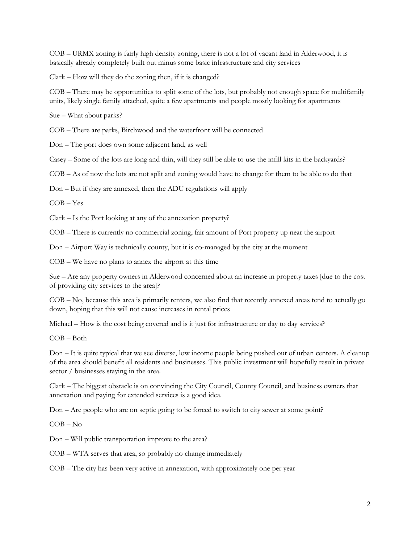COB – URMX zoning is fairly high density zoning, there is not a lot of vacant land in Alderwood, it is basically already completely built out minus some basic infrastructure and city services

Clark – How will they do the zoning then, if it is changed?

COB – There may be opportunities to split some of the lots, but probably not enough space for multifamily units, likely single family attached, quite a few apartments and people mostly looking for apartments

Sue – What about parks?

COB – There are parks, Birchwood and the waterfront will be connected

Don – The port does own some adjacent land, as well

Casey – Some of the lots are long and thin, will they still be able to use the infill kits in the backyards?

COB – As of now the lots are not split and zoning would have to change for them to be able to do that

Don – But if they are annexed, then the ADU regulations will apply

COB – Yes

Clark – Is the Port looking at any of the annexation property?

COB – There is currently no commercial zoning, fair amount of Port property up near the airport

Don – Airport Way is technically county, but it is co-managed by the city at the moment

COB – We have no plans to annex the airport at this time

Sue – Are any property owners in Alderwood concerned about an increase in property taxes [due to the cost of providing city services to the area]?

COB – No, because this area is primarily renters, we also find that recently annexed areas tend to actually go down, hoping that this will not cause increases in rental prices

Michael – How is the cost being covered and is it just for infrastructure or day to day services?

COB – Both

Don – It is quite typical that we see diverse, low income people being pushed out of urban centers. A cleanup of the area should benefit all residents and businesses. This public investment will hopefully result in private sector / businesses staying in the area.

Clark – The biggest obstacle is on convincing the City Council, County Council, and business owners that annexation and paying for extended services is a good idea.

Don – Are people who are on septic going to be forced to switch to city sewer at some point?

COB – No

Don – Will public transportation improve to the area?

COB – WTA serves that area, so probably no change immediately

COB – The city has been very active in annexation, with approximately one per year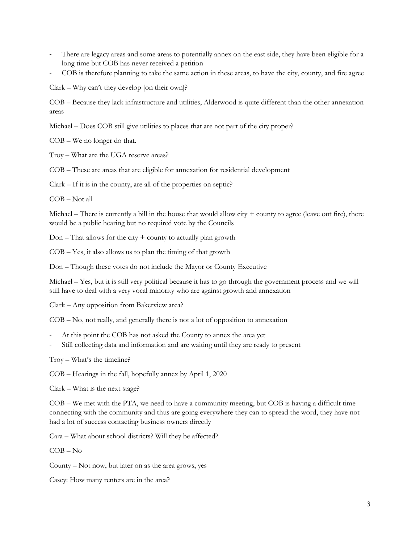- There are legacy areas and some areas to potentially annex on the east side, they have been eligible for a long time but COB has never received a petition
- COB is therefore planning to take the same action in these areas, to have the city, county, and fire agree

Clark – Why can't they develop [on their own]?

COB – Because they lack infrastructure and utilities, Alderwood is quite different than the other annexation areas

Michael – Does COB still give utilities to places that are not part of the city proper?

COB – We no longer do that.

Troy – What are the UGA reserve areas?

COB – These are areas that are eligible for annexation for residential development

Clark – If it is in the county, are all of the properties on septic?

COB – Not all

Michael – There is currently a bill in the house that would allow city  $+$  county to agree (leave out fire), there would be a public hearing but no required vote by the Councils

 $Don - That$  allows for the city  $+$  county to actually plan growth

COB – Yes, it also allows us to plan the timing of that growth

Don – Though these votes do not include the Mayor or County Executive

Michael – Yes, but it is still very political because it has to go through the government process and we will still have to deal with a very vocal minority who are against growth and annexation

Clark – Any opposition from Bakerview area?

COB – No, not really, and generally there is not a lot of opposition to annexation

- At this point the COB has not asked the County to annex the area yet
- Still collecting data and information and are waiting until they are ready to present

Troy – What's the timeline?

COB – Hearings in the fall, hopefully annex by April 1, 2020

Clark – What is the next stage?

COB – We met with the PTA, we need to have a community meeting, but COB is having a difficult time connecting with the community and thus are going everywhere they can to spread the word, they have not had a lot of success contacting business owners directly

Cara – What about school districts? Will they be affected?

COB – No

County – Not now, but later on as the area grows, yes

Casey: How many renters are in the area?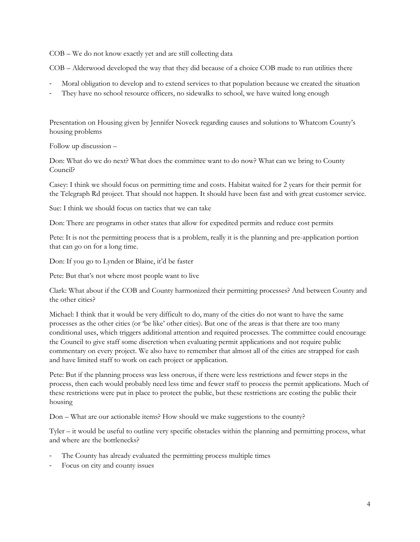COB – We do not know exactly yet and are still collecting data

COB – Alderwood developed the way that they did because of a choice COB made to run utilities there

- Moral obligation to develop and to extend services to that population because we created the situation
- They have no school resource officers, no sidewalks to school, we have waited long enough

Presentation on Housing given by Jennifer Noveck regarding causes and solutions to Whatcom County's housing problems

Follow up discussion –

Don: What do we do next? What does the committee want to do now? What can we bring to County Council?

Casey: I think we should focus on permitting time and costs. Habitat waited for 2 years for their permit for the Telegraph Rd project. That should not happen. It should have been fast and with great customer service.

Sue: I think we should focus on tactics that we can take

Don: There are programs in other states that allow for expedited permits and reduce cost permits

Pete: It is not the permitting process that is a problem, really it is the planning and pre-application portion that can go on for a long time.

Don: If you go to Lynden or Blaine, it'd be faster

Pete: But that's not where most people want to live

Clark: What about if the COB and County harmonized their permitting processes? And between County and the other cities?

Michael: I think that it would be very difficult to do, many of the cities do not want to have the same processes as the other cities (or 'be like' other cities). But one of the areas is that there are too many conditional uses, which triggers additional attention and required processes. The committee could encourage the Council to give staff some discretion when evaluating permit applications and not require public commentary on every project. We also have to remember that almost all of the cities are strapped for cash and have limited staff to work on each project or application.

Pete: But if the planning process was less onerous, if there were less restrictions and fewer steps in the process, then each would probably need less time and fewer staff to process the permit applications. Much of these restrictions were put in place to protect the public, but these restrictions are costing the public their housing

Don – What are our actionable items? How should we make suggestions to the county?

Tyler – it would be useful to outline very specific obstacles within the planning and permitting process, what and where are the bottlenecks?

- The County has already evaluated the permitting process multiple times
- Focus on city and county issues